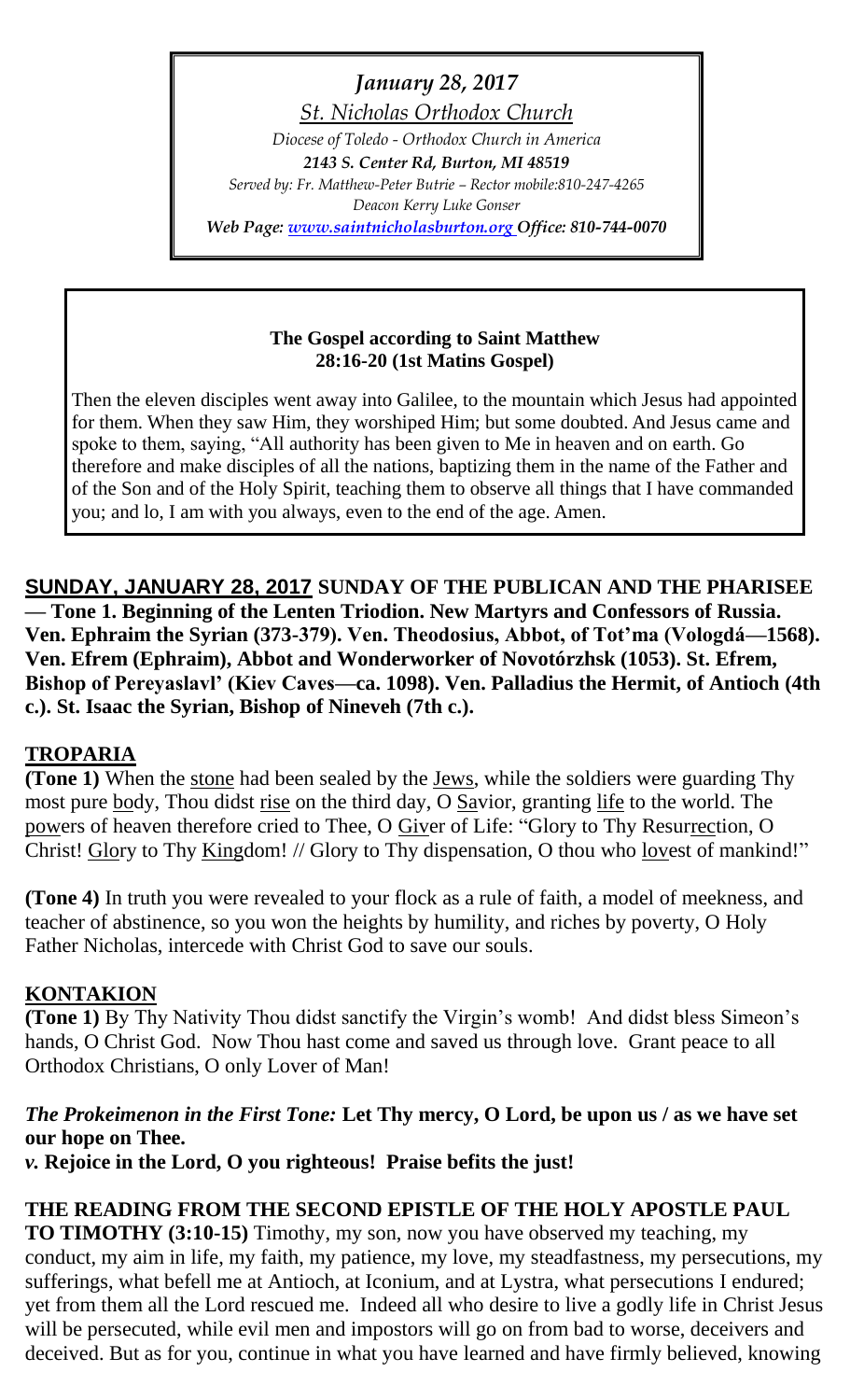*January 28, 2017*

*St. Nicholas Orthodox Church*

*Diocese of Toledo - Orthodox Church in America 2143 S. Center Rd, Burton, MI 48519*

*Served by: Fr. Matthew-Peter Butrie – Rector mobile:810-247-4265 Deacon Kerry Luke Gonser*

*Web Page: [www.saintnicholasburton.org](http://www.saintnicholasburton.org/) Office: 810-744-0070*

## **The Gospel according to Saint Matthew 28:16-20 (1st Matins Gospel)**

Then the eleven disciples went away into Galilee, to the mountain which Jesus had appointed for them. When they saw Him, they worshiped Him; but some doubted. And Jesus came and spoke to them, saying, "All authority has been given to Me in heaven and on earth. Go therefore and make disciples of all the nations, baptizing them in the name of the Father and of the Son and of the Holy Spirit, teaching them to observe all things that I have commanded you; and lo, I am with you always, even to the end of the age. Amen.

**SUNDAY, JANUARY 28, 2017 SUNDAY OF THE PUBLICAN AND THE PHARISEE — Tone 1. Beginning of the Lenten Triodion. New Martyrs and Confessors of Russia. Ven. Ephraim the Syrian (373-379). Ven. Theodosius, Abbot, of Tot'ma (Vologdá—1568). Ven. Efrem (Ephraim), Abbot and Wonderworker of Novotórzhsk (1053). St. Efrem, Bishop of Pereyaslavl' (Kiev Caves—ca. 1098). Ven. Palladius the Hermit, of Antioch (4th c.). St. Isaac the Syrian, Bishop of Nineveh (7th c.).**

# **TROPARIA**

**(Tone 1)** When the stone had been sealed by the Jews, while the soldiers were guarding Thy most pure body, Thou didst rise on the third day, O Savior, granting life to the world. The powers of heaven therefore cried to Thee, O Giver of Life: "Glory to Thy Resurrection, O Christ! Glory to Thy Kingdom! // Glory to Thy dispensation, O thou who lovest of mankind!"

**(Tone 4)** In truth you were revealed to your flock as a rule of faith, a model of meekness, and teacher of abstinence, so you won the heights by humility, and riches by poverty, O Holy Father Nicholas, intercede with Christ God to save our souls.

# **KONTAKION**

**(Tone 1)** By Thy Nativity Thou didst sanctify the Virgin's womb! And didst bless Simeon's hands, O Christ God. Now Thou hast come and saved us through love. Grant peace to all Orthodox Christians, O only Lover of Man!

# *The Prokeimenon in the First Tone:* **Let Thy mercy, O Lord, be upon us / as we have set our hope on Thee.**

*v.* **Rejoice in the Lord, O you righteous! Praise befits the just!**

# **THE READING FROM THE SECOND EPISTLE OF THE HOLY APOSTLE PAUL**

**TO TIMOTHY (3:10-15)** Timothy, my son, now you have observed my teaching, my conduct, my aim in life, my faith, my patience, my love, my steadfastness, my persecutions, my sufferings, what befell me at Antioch, at Iconium, and at Lystra, what persecutions I endured; yet from them all the Lord rescued me. Indeed all who desire to live a godly life in Christ Jesus will be persecuted, while evil men and impostors will go on from bad to worse, deceivers and deceived. But as for you, continue in what you have learned and have firmly believed, knowing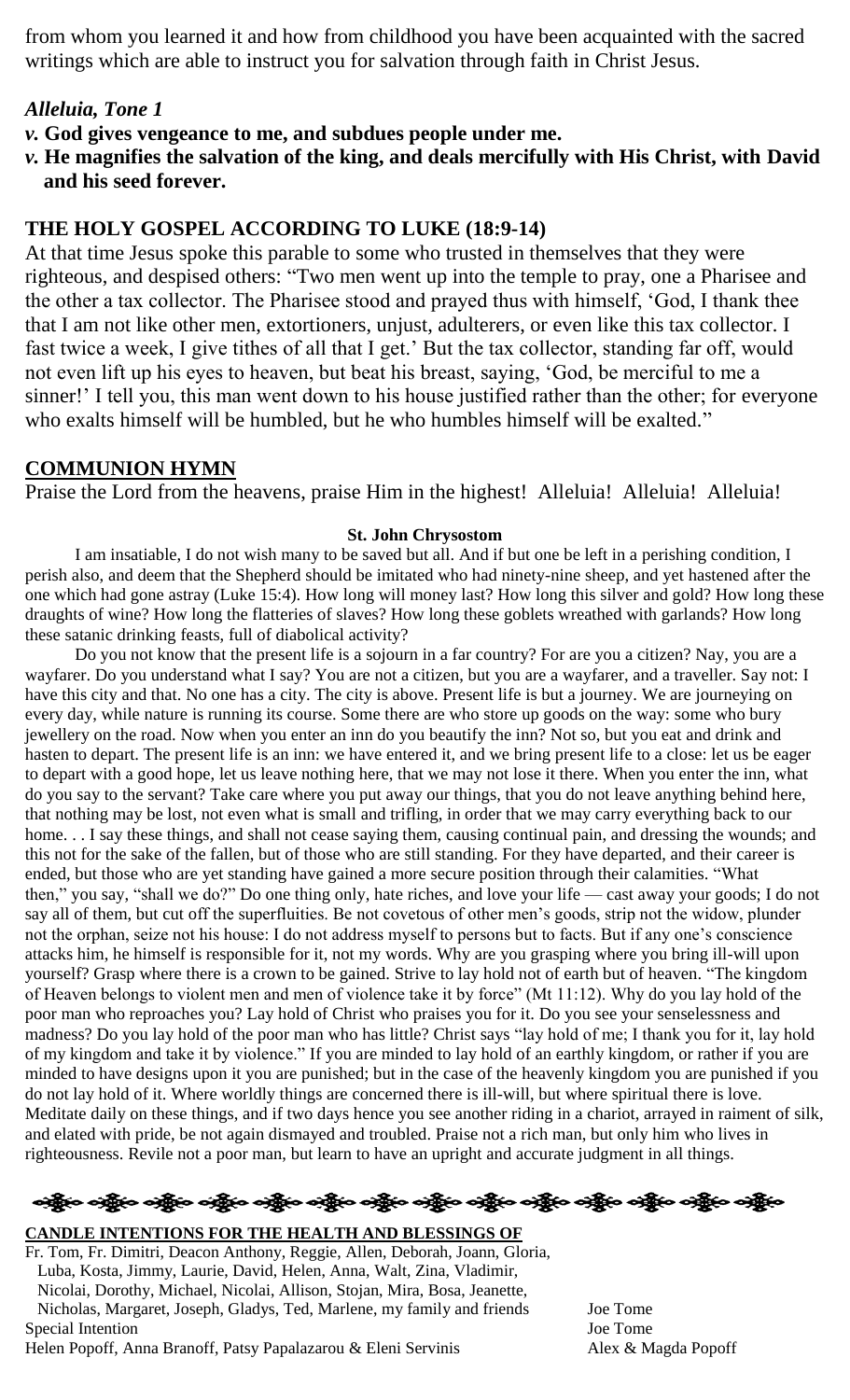from whom you learned it and how from childhood you have been acquainted with the sacred writings which are able to instruct you for salvation through faith in Christ Jesus.

## *Alleluia, Tone 1*

*v.* **God gives vengeance to me, and subdues people under me.**

*v.* **He magnifies the salvation of the king, and deals mercifully with His Christ, with David and his seed forever.**

## **THE HOLY GOSPEL ACCORDING TO LUKE (18:9-14)**

At that time Jesus spoke this parable to some who trusted in themselves that they were righteous, and despised others: "Two men went up into the temple to pray, one a Pharisee and the other a tax collector. The Pharisee stood and prayed thus with himself, 'God, I thank thee that I am not like other men, extortioners, unjust, adulterers, or even like this tax collector. I fast twice a week, I give tithes of all that I get.' But the tax collector, standing far off, would not even lift up his eyes to heaven, but beat his breast, saying, 'God, be merciful to me a sinner!' I tell you, this man went down to his house justified rather than the other; for everyone who exalts himself will be humbled, but he who humbles himself will be exalted."

## **COMMUNION HYMN**

Praise the Lord from the heavens, praise Him in the highest! Alleluia! Alleluia! Alleluia!

### **St. John Chrysostom**

I am insatiable, I do not wish many to be saved but all. And if but one be left in a perishing condition, I perish also, and deem that the Shepherd should be imitated who had ninety-nine sheep, and yet hastened after the one which had gone astray (Luke 15:4). How long will money last? How long this silver and gold? How long these draughts of wine? How long the flatteries of slaves? How long these goblets wreathed with garlands? How long these satanic drinking feasts, full of diabolical activity?

Do you not know that the present life is a sojourn in a far country? For are you a citizen? Nay, you are a wayfarer. Do you understand what I say? You are not a citizen, but you are a wayfarer, and a traveller. Say not: I have this city and that. No one has a city. The city is above. Present life is but a journey. We are journeying on every day, while nature is running its course. Some there are who store up goods on the way: some who bury jewellery on the road. Now when you enter an inn do you beautify the inn? Not so, but you eat and drink and hasten to depart. The present life is an inn: we have entered it, and we bring present life to a close: let us be eager to depart with a good hope, let us leave nothing here, that we may not lose it there. When you enter the inn, what do you say to the servant? Take care where you put away our things, that you do not leave anything behind here, that nothing may be lost, not even what is small and trifling, in order that we may carry everything back to our home. . . I say these things, and shall not cease saying them, causing continual pain, and dressing the wounds; and this not for the sake of the fallen, but of those who are still standing. For they have departed, and their career is ended, but those who are yet standing have gained a more secure position through their calamities. "What then," you say, "shall we do?" Do one thing only, hate riches, and love your life — cast away your goods; I do not say all of them, but cut off the superfluities. Be not covetous of other men's goods, strip not the widow, plunder not the orphan, seize not his house: I do not address myself to persons but to facts. But if any one's conscience attacks him, he himself is responsible for it, not my words. Why are you grasping where you bring ill-will upon yourself? Grasp where there is a crown to be gained. Strive to lay hold not of earth but of heaven. "The kingdom of Heaven belongs to violent men and men of violence take it by force" (Mt 11:12). Why do you lay hold of the poor man who reproaches you? Lay hold of Christ who praises you for it. Do you see your senselessness and madness? Do you lay hold of the poor man who has little? Christ says "lay hold of me; I thank you for it, lay hold of my kingdom and take it by violence." If you are minded to lay hold of an earthly kingdom, or rather if you are minded to have designs upon it you are punished; but in the case of the heavenly kingdom you are punished if you do not lay hold of it. Where worldly things are concerned there is ill-will, but where spiritual there is love. Meditate daily on these things, and if two days hence you see another riding in a chariot, arrayed in raiment of silk, and elated with pride, be not again dismayed and troubled. Praise not a rich man, but only him who lives in righteousness. Revile not a poor man, but learn to have an upright and accurate judgment in all things.

ခရွို့လ ခရွို့လ ခရွို့လ ခရွို့လ ခရွို့လ ခရွို့လ ခရွို့လ ခရွို့လ ခရွို့လ ခရွို့လ ခရွို့လ ခရွို့လ ခရွို့လ ခရွို့လ

### **CANDLE INTENTIONS FOR THE HEALTH AND BLESSINGS OF**

Fr. Tom, Fr. Dimitri, Deacon Anthony, Reggie, Allen, Deborah, Joann, Gloria, Luba, Kosta, Jimmy, Laurie, David, Helen, Anna, Walt, Zina, Vladimir, Nicolai, Dorothy, Michael, Nicolai, Allison, Stojan, Mira, Bosa, Jeanette, Nicholas, Margaret, Joseph, Gladys, Ted, Marlene, my family and friends Joe Tome Special Intention Joe Tome

Helen Popoff, Anna Branoff, Patsy Papalazarou & Eleni Servinis Alex & Magda Popoff